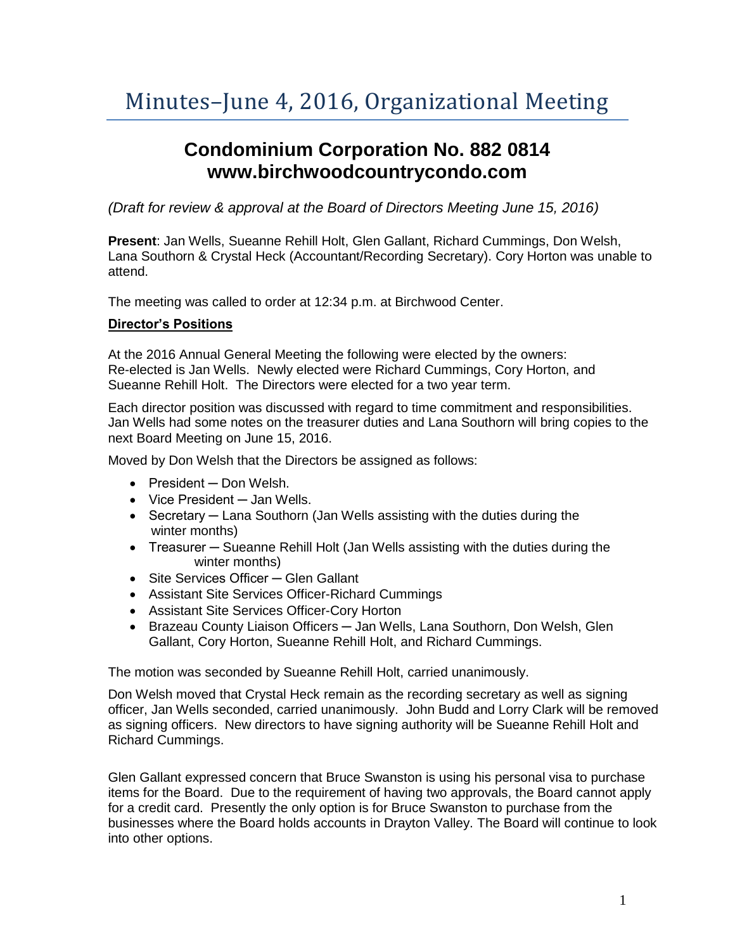## Minutes–June 4, 2016, Organizational Meeting

## **Condominium Corporation No. 882 0814 www.birchwoodcountrycondo.com**

*(Draft for review & approval at the Board of Directors Meeting June 15, 2016)*

**Present**: Jan Wells, Sueanne Rehill Holt, Glen Gallant, Richard Cummings, Don Welsh, Lana Southorn & Crystal Heck (Accountant/Recording Secretary). Cory Horton was unable to attend.

The meeting was called to order at 12:34 p.m. at Birchwood Center.

## **Director's Positions**

At the 2016 Annual General Meeting the following were elected by the owners: Re-elected is Jan Wells. Newly elected were Richard Cummings, Cory Horton, and Sueanne Rehill Holt. The Directors were elected for a two year term.

Each director position was discussed with regard to time commitment and responsibilities. Jan Wells had some notes on the treasurer duties and Lana Southorn will bring copies to the next Board Meeting on June 15, 2016.

Moved by Don Welsh that the Directors be assigned as follows:

- President Don Welsh.
- Vice President ─ Jan Wells.
- Secretary Lana Southorn (Jan Wells assisting with the duties during the winter months)
- Treasurer Sueanne Rehill Holt (Jan Wells assisting with the duties during the winter months)
- Site Services Officer Glen Gallant
- Assistant Site Services Officer-Richard Cummings
- Assistant Site Services Officer-Cory Horton
- Brazeau County Liaison Officers Jan Wells, Lana Southorn, Don Welsh, Glen Gallant, Cory Horton, Sueanne Rehill Holt, and Richard Cummings.

The motion was seconded by Sueanne Rehill Holt, carried unanimously.

Don Welsh moved that Crystal Heck remain as the recording secretary as well as signing officer, Jan Wells seconded, carried unanimously. John Budd and Lorry Clark will be removed as signing officers. New directors to have signing authority will be Sueanne Rehill Holt and Richard Cummings.

Glen Gallant expressed concern that Bruce Swanston is using his personal visa to purchase items for the Board. Due to the requirement of having two approvals, the Board cannot apply for a credit card. Presently the only option is for Bruce Swanston to purchase from the businesses where the Board holds accounts in Drayton Valley. The Board will continue to look into other options.